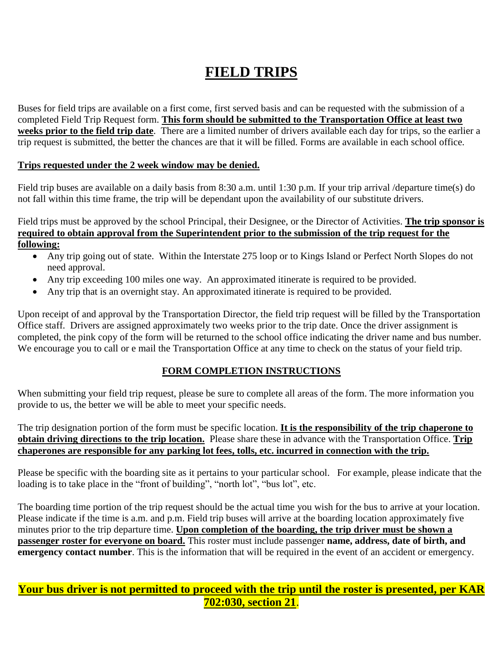# **FIELD TRIPS**

Buses for field trips are available on a first come, first served basis and can be requested with the submission of a completed Field Trip Request form. **This form should be submitted to the Transportation Office at least two weeks prior to the field trip date**. There are a limited number of drivers available each day for trips, so the earlier a trip request is submitted, the better the chances are that it will be filled. Forms are available in each school office.

#### **Trips requested under the 2 week window may be denied.**

Field trip buses are available on a daily basis from 8:30 a.m. until 1:30 p.m. If your trip arrival /departure time(s) do not fall within this time frame, the trip will be dependant upon the availability of our substitute drivers.

Field trips must be approved by the school Principal, their Designee, or the Director of Activities. **The trip sponsor is required to obtain approval from the Superintendent prior to the submission of the trip request for the following:**

- Any trip going out of state. Within the Interstate 275 loop or to Kings Island or Perfect North Slopes do not need approval.
- Any trip exceeding 100 miles one way. An approximated itinerate is required to be provided.
- Any trip that is an overnight stay. An approximated itinerate is required to be provided.

Upon receipt of and approval by the Transportation Director, the field trip request will be filled by the Transportation Office staff. Drivers are assigned approximately two weeks prior to the trip date. Once the driver assignment is completed, the pink copy of the form will be returned to the school office indicating the driver name and bus number. We encourage you to call or e mail the Transportation Office at any time to check on the status of your field trip.

## **FORM COMPLETION INSTRUCTIONS**

When submitting your field trip request, please be sure to complete all areas of the form. The more information you provide to us, the better we will be able to meet your specific needs.

The trip designation portion of the form must be specific location. **It is the responsibility of the trip chaperone to obtain driving directions to the trip location.** Please share these in advance with the Transportation Office. **Trip chaperones are responsible for any parking lot fees, tolls, etc. incurred in connection with the trip.**

Please be specific with the boarding site as it pertains to your particular school. For example, please indicate that the loading is to take place in the "front of building", "north lot", "bus lot", etc.

The boarding time portion of the trip request should be the actual time you wish for the bus to arrive at your location. Please indicate if the time is a.m. and p.m. Field trip buses will arrive at the boarding location approximately five minutes prior to the trip departure time. **Upon completion of the boarding, the trip driver must be shown a passenger roster for everyone on board.** This roster must include passenger **name, address, date of birth, and emergency contact number**. This is the information that will be required in the event of an accident or emergency.

## **Your bus driver is not permitted to proceed with the trip until the roster is presented, per KAR 702:030, section 21**.